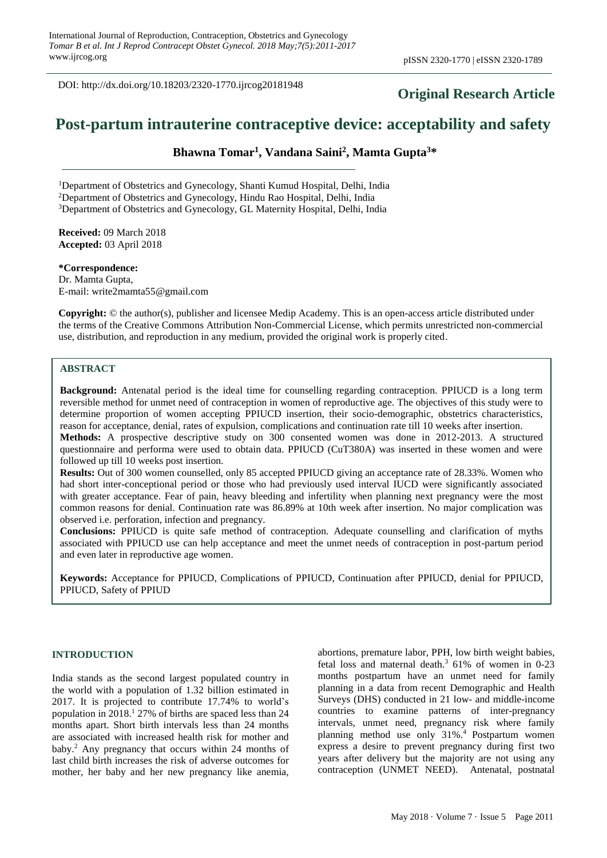DOI: http://dx.doi.org/10.18203/2320-1770.ijrcog20181948

## **Original Research Article**

# **Post-partum intrauterine contraceptive device: acceptability and safety**

**Bhawna Tomar<sup>1</sup> , Vandana Saini<sup>2</sup> , Mamta Gupta<sup>3</sup>\***

<sup>1</sup>Department of Obstetrics and Gynecology, Shanti Kumud Hospital, Delhi, India <sup>2</sup>Department of Obstetrics and Gynecology, Hindu Rao Hospital, Delhi, India <sup>3</sup>Department of Obstetrics and Gynecology, GL Maternity Hospital, Delhi, India

**Received:** 09 March 2018 **Accepted:** 03 April 2018

**\*Correspondence:** Dr. Mamta Gupta,

E-mail: write2mamta55@gmail.com

**Copyright:** © the author(s), publisher and licensee Medip Academy. This is an open-access article distributed under the terms of the Creative Commons Attribution Non-Commercial License, which permits unrestricted non-commercial use, distribution, and reproduction in any medium, provided the original work is properly cited.

#### **ABSTRACT**

**Background:** Antenatal period is the ideal time for counselling regarding contraception. PPIUCD is a long term reversible method for unmet need of contraception in women of reproductive age. The objectives of this study were to determine proportion of women accepting PPIUCD insertion, their socio-demographic, obstetrics characteristics, reason for acceptance, denial, rates of expulsion, complications and continuation rate till 10 weeks after insertion. **Methods:** A prospective descriptive study on 300 consented women was done in 2012-2013. A structured questionnaire and performa were used to obtain data. PPIUCD (CuT380A) was inserted in these women and were followed up till 10 weeks post insertion.

**Results:** Out of 300 women counselled, only 85 accepted PPIUCD giving an acceptance rate of 28.33%. Women who had short inter-conceptional period or those who had previously used interval IUCD were significantly associated with greater acceptance. Fear of pain, heavy bleeding and infertility when planning next pregnancy were the most common reasons for denial. Continuation rate was 86.89% at 10th week after insertion. No major complication was observed i.e. perforation, infection and pregnancy.

**Conclusions:** PPIUCD is quite safe method of contraception. Adequate counselling and clarification of myths associated with PPIUCD use can help acceptance and meet the unmet needs of contraception in post-partum period and even later in reproductive age women.

**Keywords:** Acceptance for PPIUCD, Complications of PPIUCD, Continuation after PPIUCD, denial for PPIUCD, PPIUCD, Safety of PPIUD

#### **INTRODUCTION**

India stands as the second largest populated country in the world with a population of 1.32 billion estimated in 2017. It is projected to contribute 17.74% to world's population in 2018.<sup>1</sup> 27% of births are spaced less than 24 months apart. Short birth intervals less than 24 months are associated with increased health risk for mother and baby.<sup>2</sup> Any pregnancy that occurs within 24 months of last child birth increases the risk of adverse outcomes for mother, her baby and her new pregnancy like anemia, abortions, premature labor, PPH, low birth weight babies, fetal loss and maternal death. $3$  61% of women in 0-23 months postpartum have an unmet need for family planning in a data from recent Demographic and Health Surveys (DHS) conducted in 21 low- and middle-income countries to examine patterns of inter-pregnancy intervals, unmet need, pregnancy risk where family planning method use only 31%.<sup>4</sup> Postpartum women express a desire to prevent pregnancy during first two years after delivery but the majority are not using any contraception (UNMET NEED). Antenatal, postnatal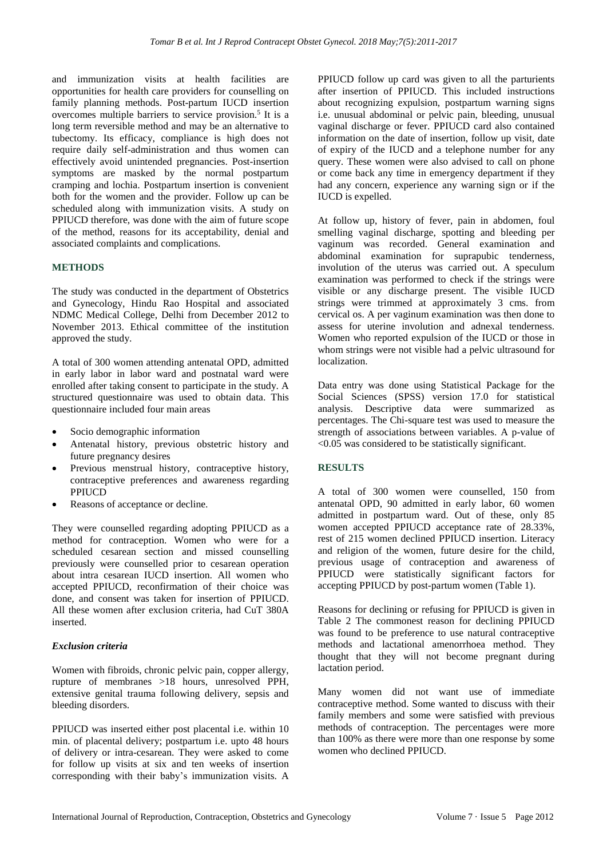and immunization visits at health facilities are opportunities for health care providers for counselling on family planning methods. Post-partum IUCD insertion overcomes multiple barriers to service provision.<sup>5</sup> It is a long term reversible method and may be an alternative to tubectomy. Its efficacy, compliance is high does not require daily self-administration and thus women can effectively avoid unintended pregnancies. Post-insertion symptoms are masked by the normal postpartum cramping and lochia. Postpartum insertion is convenient both for the women and the provider. Follow up can be scheduled along with immunization visits. A study on PPIUCD therefore, was done with the aim of future scope of the method, reasons for its acceptability, denial and associated complaints and complications.

## **METHODS**

The study was conducted in the department of Obstetrics and Gynecology, Hindu Rao Hospital and associated NDMC Medical College, Delhi from December 2012 to November 2013. Ethical committee of the institution approved the study.

A total of 300 women attending antenatal OPD, admitted in early labor in labor ward and postnatal ward were enrolled after taking consent to participate in the study. A structured questionnaire was used to obtain data. This questionnaire included four main areas

- Socio demographic information
- Antenatal history, previous obstetric history and future pregnancy desires
- Previous menstrual history, contraceptive history, contraceptive preferences and awareness regarding PPIUCD
- Reasons of acceptance or decline.

They were counselled regarding adopting PPIUCD as a method for contraception. Women who were for a scheduled cesarean section and missed counselling previously were counselled prior to cesarean operation about intra cesarean IUCD insertion. All women who accepted PPIUCD, reconfirmation of their choice was done, and consent was taken for insertion of PPIUCD. All these women after exclusion criteria, had CuT 380A inserted.

## *Exclusion criteria*

Women with fibroids, chronic pelvic pain, copper allergy, rupture of membranes >18 hours, unresolved PPH, extensive genital trauma following delivery, sepsis and bleeding disorders.

PPIUCD was inserted either post placental i.e. within 10 min. of placental delivery; postpartum i.e. upto 48 hours of delivery or intra-cesarean. They were asked to come for follow up visits at six and ten weeks of insertion corresponding with their baby's immunization visits. A PPIUCD follow up card was given to all the parturients after insertion of PPIUCD. This included instructions about recognizing expulsion, postpartum warning signs i.e. unusual abdominal or pelvic pain, bleeding, unusual vaginal discharge or fever. PPIUCD card also contained information on the date of insertion, follow up visit, date of expiry of the IUCD and a telephone number for any query. These women were also advised to call on phone or come back any time in emergency department if they had any concern, experience any warning sign or if the IUCD is expelled.

At follow up, history of fever, pain in abdomen, foul smelling vaginal discharge, spotting and bleeding per vaginum was recorded. General examination and abdominal examination for suprapubic tenderness, involution of the uterus was carried out. A speculum examination was performed to check if the strings were visible or any discharge present. The visible IUCD strings were trimmed at approximately 3 cms. from cervical os. A per vaginum examination was then done to assess for uterine involution and adnexal tenderness. Women who reported expulsion of the IUCD or those in whom strings were not visible had a pelvic ultrasound for localization.

Data entry was done using Statistical Package for the Social Sciences (SPSS) version 17.0 for statistical analysis. Descriptive data were summarized as percentages. The Chi-square test was used to measure the strength of associations between variables. A p-value of <0.05 was considered to be statistically significant.

## **RESULTS**

A total of 300 women were counselled, 150 from antenatal OPD, 90 admitted in early labor, 60 women admitted in postpartum ward. Out of these, only 85 women accepted PPIUCD acceptance rate of 28.33%, rest of 215 women declined PPIUCD insertion. Literacy and religion of the women, future desire for the child, previous usage of contraception and awareness of PPIUCD were statistically significant factors for accepting PPIUCD by post-partum women (Table 1).

Reasons for declining or refusing for PPIUCD is given in Table 2 The commonest reason for declining PPIUCD was found to be preference to use natural contraceptive methods and lactational amenorrhoea method. They thought that they will not become pregnant during lactation period.

Many women did not want use of immediate contraceptive method. Some wanted to discuss with their family members and some were satisfied with previous methods of contraception. The percentages were more than 100% as there were more than one response by some women who declined PPIUCD.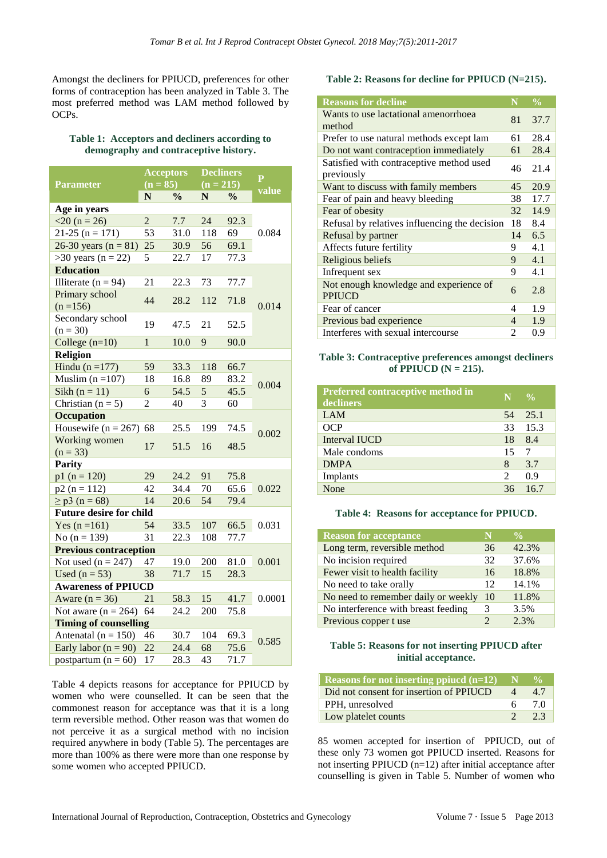Amongst the decliners for PPIUCD, preferences for other forms of contraception has been analyzed in Table 3. The most preferred method was LAM method followed by OCPs.

## **Table 1: Acceptors and decliners according to demography and contraceptive history.**

|                                | <b>Acceptors</b> |               | <b>Decliners</b> |               | $\overline{P}$ |  |
|--------------------------------|------------------|---------------|------------------|---------------|----------------|--|
| <b>Parameter</b>               | $(n = 85)$       |               | $(n = 215)$      |               | value          |  |
|                                | N                | $\frac{0}{0}$ | N                | $\frac{1}{2}$ |                |  |
| Age in years                   |                  |               |                  |               |                |  |
| $<$ 20 (n = 26)                | $\overline{2}$   | 7.7           | 24               | 92.3          |                |  |
| $21-25$ (n = 171)              | 53               | 31.0          | 118              | 69            | 0.084          |  |
| 26-30 years $(n = 81)$         | 25               | 30.9          | 56               | 69.1          |                |  |
| $>30$ years (n = 22)           | 5                | 22.7          | 17               | 77.3          |                |  |
| <b>Education</b>               |                  |               |                  |               |                |  |
| Illiterate ( $n = 94$ )        | 21               | 22.3          | 73               | 77.7          |                |  |
| Primary school                 | 44               | 28.2          | 112              | 71.8          |                |  |
| $(n = 156)$                    |                  |               |                  |               | 0.014          |  |
| Secondary school               | 19               | 47.5          | 21               | 52.5          |                |  |
| $(n = 30)$                     |                  |               |                  |               |                |  |
| College $(n=10)$               | $\mathbf{1}$     | 10.0          | 9                | 90.0          |                |  |
| Religion                       |                  |               |                  |               |                |  |
| Hindu $(n = 177)$              | 59               | 33.3          | 118              | 66.7          |                |  |
| Muslim $(n = 107)$             | 18               | 16.8          | 89               | 83.2          | 0.004          |  |
| Sikh $(n = 11)$                | 6                | 54.5          | 5                | 45.5          |                |  |
| Christian $(n = 5)$            | $\overline{c}$   | 40            | 3                | 60            |                |  |
| <b>Occupation</b>              |                  |               |                  |               |                |  |
| Housewife $(n = 267)$          | 68               | 25.5          | 199              | 74.5          | 0.002          |  |
| Working women                  | 17               | 51.5          | 16               | 48.5          |                |  |
| $(n = 33)$                     |                  |               |                  |               |                |  |
| <b>Parity</b>                  |                  |               |                  |               |                |  |
| $p1 (n = 120)$                 | 29               | 24.2          | 91               | 75.8          |                |  |
| $p2 (n = 112)$                 | 42               | 34.4          | 70               | 65.6          | 0.022          |  |
| $\geq$ p3 (n = 68)             | 14               | 20.6          | 54               | 79.4          |                |  |
| <b>Future desire for child</b> |                  |               |                  |               |                |  |
| Yes $(n = 161)$                | 54               | 33.5          | 107              | 66.5          | 0.031          |  |
| No $(n = 139)$                 | 31               | 22.3          | 108              | 77.7          |                |  |
| <b>Previous contraception</b>  |                  |               |                  |               |                |  |
| Not used $(n = 247)$           | 47               | 19.0          | 200              | 81.0          | 0.001          |  |
| Used $(n = 53)$                | 38               | 71.7          | 15               | 28.3          |                |  |
| <b>Awareness of PPIUCD</b>     |                  |               |                  |               |                |  |
| Aware $(n = 36)$               | 21               | 58.3          | 15               | 41.7          | 0.0001         |  |
| Not aware $(n = 264)$          | 64               | 24.2          | 200              | 75.8          |                |  |
| <b>Timing of counselling</b>   |                  |               |                  |               |                |  |
| Antenatal ( $n = 150$ )        | 46               | 30.7          | 104              | 69.3          | 0.585          |  |
| Early labor $(n = 90)$         | 22               | 24.4          | 68               | 75.6          |                |  |
| postpartum $(n = 60)$          | 17               | 28.3          | 43               | 71.7          |                |  |

Table 4 depicts reasons for acceptance for PPIUCD by women who were counselled. It can be seen that the commonest reason for acceptance was that it is a long term reversible method. Other reason was that women do not perceive it as a surgical method with no incision required anywhere in body (Table 5). The percentages are more than 100% as there were more than one response by some women who accepted PPIUCD.

## **Table 2: Reasons for decline for PPIUCD (N=215).**

| <b>Reasons for decline</b>                              | N  | $\frac{0}{0}$ |
|---------------------------------------------------------|----|---------------|
| Wants to use lactational amenorrhoea<br>method          | 81 | 37.7          |
| Prefer to use natural methods except lam                | 61 | 28.4          |
| Do not want contraception immediately                   | 61 | 28.4          |
| Satisfied with contraceptive method used<br>previously  | 46 | 21.4          |
| Want to discuss with family members                     | 45 | 20.9          |
| Fear of pain and heavy bleeding                         | 38 | 17.7          |
| Fear of obesity                                         | 32 | 14.9          |
| Refusal by relatives influencing the decision           | 18 | 8.4           |
| Refusal by partner                                      | 14 | 6.5           |
| Affects future fertility                                | 9  | 4.1           |
| Religious beliefs                                       | 9  | 4.1           |
| Infrequent sex                                          | 9  | 4.1           |
| Not enough knowledge and experience of<br><b>PPIUCD</b> | 6  | 2.8           |
| Fear of cancer                                          | 4  | 1.9           |
| Previous bad experience                                 | 4  | 1.9           |
| Interferes with sexual intercourse                      |    | 0.9           |

#### **Table 3: Contraceptive preferences amongst decliners**  of  $PPIUCD$  ( $N = 215$ ).

| <b>Preferred contraceptive method in</b><br>decliners | N.                          | $\frac{0}{0}$ |
|-------------------------------------------------------|-----------------------------|---------------|
| LAM                                                   | 54                          | 25.1          |
| OCP                                                   | 33                          | 15.3          |
| Interval IUCD                                         | 18                          | 8.4           |
| Male condoms                                          | 15                          | 7             |
| <b>DMPA</b>                                           | 8                           | 3.7           |
| Implants                                              | $\mathcal{D}_{\mathcal{L}}$ | 0.9           |
| None                                                  | 36                          | 167           |

#### **Table 4: Reasons for acceptance for PPIUCD.**

| <b>Reason for acceptance</b>        | N   | $\frac{0}{0}$ |
|-------------------------------------|-----|---------------|
| Long term, reversible method        | 36  | 42.3%         |
| No incision required                | 32  | 37.6%         |
| Fewer visit to health facility      | 16  | 18.8%         |
| No need to take orally              | 12. | 14.1%         |
| No need to remember daily or weekly | 10  | 11.8%         |
| No interference with breast feeding | 3   | 3.5%          |
| Previous copper t use               |     | 2.3%          |

## **Table 5: Reasons for not inserting PPIUCD after initial acceptance.**

| Reasons for not inserting ppiucd $(n=12)$ N $\%$ |   |     |
|--------------------------------------------------|---|-----|
| Did not consent for insertion of PPIUCD          |   | 4.7 |
| PPH, unresolved                                  | 6 | 7.0 |
| Low platelet counts                              |   | 2.3 |

85 women accepted for insertion of PPIUCD, out of these only 73 women got PPIUCD inserted. Reasons for not inserting PPIUCD (n=12) after initial acceptance after counselling is given in Table 5. Number of women who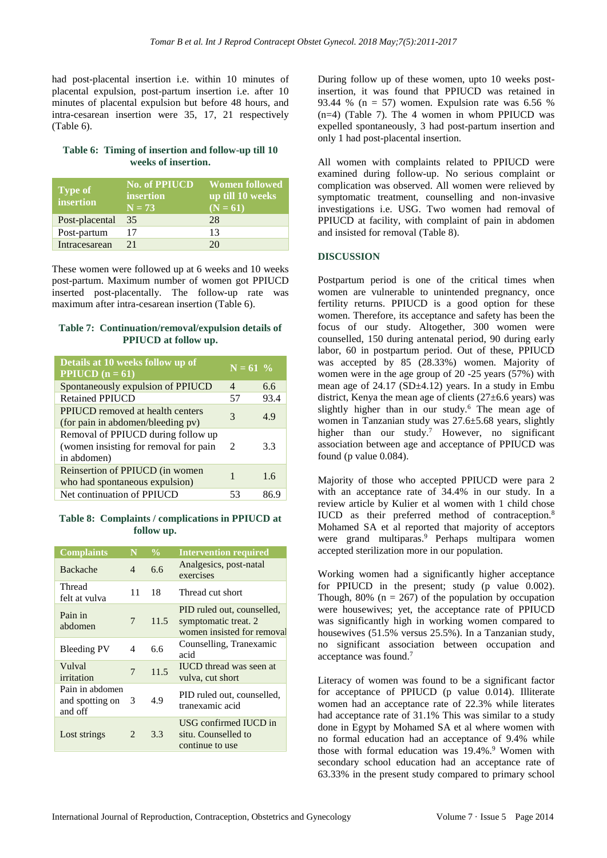had post-placental insertion i.e. within 10 minutes of placental expulsion, post-partum insertion i.e. after 10 minutes of placental expulsion but before 48 hours, and intra-cesarean insertion were 35, 17, 21 respectively (Table 6).

## **Table 6: Timing of insertion and follow-up till 10 weeks of insertion.**

| <b>Type of</b><br><b>insertion</b> | <b>No. of PPIUCD</b><br>insertion<br>$N = 73$ | <b>Women followed</b><br>up till 10 weeks<br>$(N = 61)$ |
|------------------------------------|-----------------------------------------------|---------------------------------------------------------|
| Post-placental                     | 35                                            | 28                                                      |
| Post-partum                        | 17                                            | 13                                                      |
| Intracesarean                      | 21                                            | 20                                                      |

These women were followed up at 6 weeks and 10 weeks post-partum. Maximum number of women got PPIUCD inserted post-placentally. The follow-up rate was maximum after intra-cesarean insertion (Table 6).

#### **Table 7: Continuation/removal/expulsion details of PPIUCD at follow up.**

| Details at 10 weeks follow up of<br><b>PPIUCD</b> $(n = 61)$                               | $N = 61$ %                  |      |
|--------------------------------------------------------------------------------------------|-----------------------------|------|
| Spontaneously expulsion of PPIUCD                                                          | $\overline{\mathcal{A}}$    | 6.6  |
| <b>Retained PPIUCD</b>                                                                     | 57                          | 93.4 |
| <b>PPIUCD</b> removed at health centers<br>(for pain in abdomen/bleeding pv)               | 3                           | 4.9  |
| Removal of PPIUCD during follow up<br>(women insisting for removal for pain<br>in abdomen) | $\mathcal{D}_{\mathcal{L}}$ | 3.3  |
| Reinsertion of PPIUCD (in women<br>who had spontaneous expulsion)                          |                             | 1.6  |
| Net continuation of PPIUCD                                                                 | 53                          |      |

## **Table 8: Complaints / complications in PPIUCD at follow up.**

| <b>Complaints</b>                             | N                        | $\frac{6}{9}$ | <b>Intervention required</b>                                                     |
|-----------------------------------------------|--------------------------|---------------|----------------------------------------------------------------------------------|
| <b>Backache</b>                               | $\overline{4}$           | 6.6           | Analgesics, post-natal<br>exercises                                              |
| Thread<br>felt at vulva                       | 11                       | 18            | Thread cut short                                                                 |
| Pain in<br>abdomen                            | 7                        | 11.5          | PID ruled out, counselled,<br>symptomatic treat. 2<br>women insisted for removal |
| <b>Bleeding PV</b>                            | $\overline{\mathcal{A}}$ | 6.6           | Counselling, Tranexamic<br>acid                                                  |
| Vulval<br>irritation                          | 7                        | 11.5          | <b>IUCD</b> thread was seen at<br>vulva, cut short                               |
| Pain in abdomen<br>and spotting on<br>and off | 3                        | 4.9           | PID ruled out, counselled,<br>tranexamic acid                                    |
| Lost strings                                  | 2                        | 3.3           | USG confirmed IUCD in<br>situ. Counselled to<br>continue to use                  |

During follow up of these women, upto 10 weeks postinsertion, it was found that PPIUCD was retained in 93.44 % ( $n = 57$ ) women. Expulsion rate was 6.56 % (n=4) (Table 7). The 4 women in whom PPIUCD was expelled spontaneously, 3 had post-partum insertion and only 1 had post-placental insertion.

All women with complaints related to PPIUCD were examined during follow-up. No serious complaint or complication was observed. All women were relieved by symptomatic treatment, counselling and non-invasive investigations i.e. USG. Two women had removal of PPIUCD at facility, with complaint of pain in abdomen and insisted for removal (Table 8).

## **DISCUSSION**

Postpartum period is one of the critical times when women are vulnerable to unintended pregnancy, once fertility returns. PPIUCD is a good option for these women. Therefore, its acceptance and safety has been the focus of our study. Altogether, 300 women were counselled, 150 during antenatal period, 90 during early labor, 60 in postpartum period. Out of these, PPIUCD was accepted by 85 (28.33%) women. Majority of women were in the age group of 20 -25 years (57%) with mean age of  $24.17$  (SD $\pm$ 4.12) years. In a study in Embu district, Kenya the mean age of clients  $(27±6.6 \text{ years})$  was slightly higher than in our study.<sup>6</sup> The mean age of women in Tanzanian study was 27.6±5.68 years, slightly higher than our study.<sup>7</sup> However, no significant association between age and acceptance of PPIUCD was found (p value 0.084).

Majority of those who accepted PPIUCD were para 2 with an acceptance rate of 34.4% in our study. In a review article by Kulier et al women with 1 child chose IUCD as their preferred method of contraception.<sup>8</sup> Mohamed SA et al reported that majority of acceptors were grand multiparas.<sup>9</sup> Perhaps multipara women accepted sterilization more in our population.

Working women had a significantly higher acceptance for PPIUCD in the present; study (p value 0.002). Though,  $80\%$  (n = 267) of the population by occupation were housewives; yet, the acceptance rate of PPIUCD was significantly high in working women compared to housewives (51.5% versus 25.5%). In a Tanzanian study, no significant association between occupation and acceptance was found.<sup>7</sup>

Literacy of women was found to be a significant factor for acceptance of PPIUCD (p value 0.014). Illiterate women had an acceptance rate of 22.3% while literates had acceptance rate of 31.1% This was similar to a study done in Egypt by Mohamed SA et al where women with no formal education had an acceptance of 9.4% while those with formal education was 19.4%.<sup>9</sup> Women with secondary school education had an acceptance rate of 63.33% in the present study compared to primary school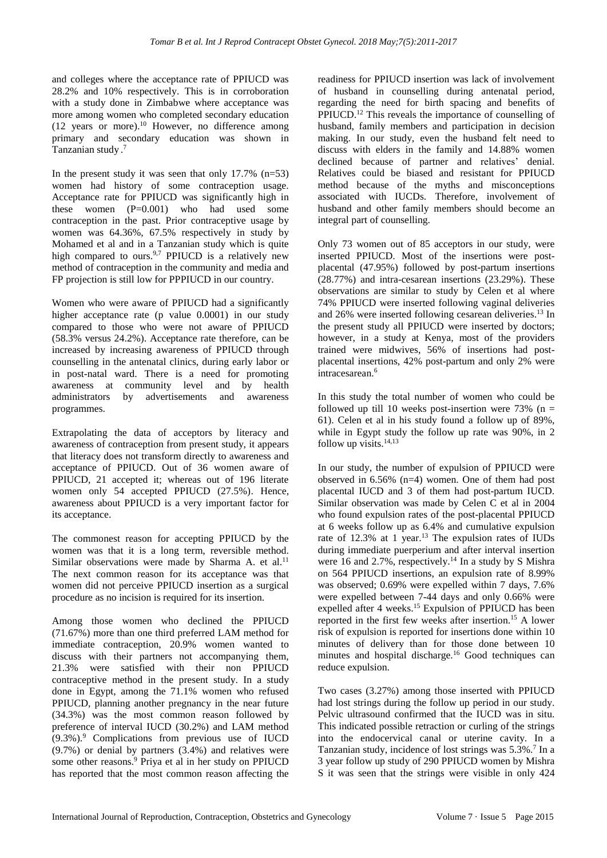and colleges where the acceptance rate of PPIUCD was 28.2% and 10% respectively. This is in corroboration with a study done in Zimbabwe where acceptance was more among women who completed secondary education (12 years or more).<sup>10</sup> However, no difference among primary and secondary education was shown in Tanzanian study . 7

In the present study it was seen that only  $17.7\%$  (n=53) women had history of some contraception usage. Acceptance rate for PPIUCD was significantly high in these women  $(P=0.001)$  who had used some contraception in the past. Prior contraceptive usage by women was 64.36%, 67.5% respectively in study by Mohamed et al and in a Tanzanian study which is quite high compared to ours.<sup>9,7</sup> PPIUCD is a relatively new method of contraception in the community and media and FP projection is still low for PPPIUCD in our country.

Women who were aware of PPIUCD had a significantly higher acceptance rate (p value 0.0001) in our study compared to those who were not aware of PPIUCD (58.3% versus 24.2%). Acceptance rate therefore, can be increased by increasing awareness of PPIUCD through counselling in the antenatal clinics, during early labor or in post-natal ward. There is a need for promoting awareness at community level and by health administrators by advertisements and awareness programmes.

Extrapolating the data of acceptors by literacy and awareness of contraception from present study, it appears that literacy does not transform directly to awareness and acceptance of PPIUCD. Out of 36 women aware of PPIUCD, 21 accepted it; whereas out of 196 literate women only 54 accepted PPIUCD (27.5%). Hence, awareness about PPIUCD is a very important factor for its acceptance.

The commonest reason for accepting PPIUCD by the women was that it is a long term, reversible method. Similar observations were made by Sharma A. et al.<sup>11</sup> The next common reason for its acceptance was that women did not perceive PPIUCD insertion as a surgical procedure as no incision is required for its insertion.

Among those women who declined the PPIUCD (71.67%) more than one third preferred LAM method for immediate contraception, 20.9% women wanted to discuss with their partners not accompanying them, 21.3% were satisfied with their non PPIUCD contraceptive method in the present study. In a study done in Egypt, among the 71.1% women who refused PPIUCD, planning another pregnancy in the near future (34.3%) was the most common reason followed by preference of interval IUCD (30.2%) and LAM method (9.3%).<sup>9</sup> Complications from previous use of IUCD (9.7%) or denial by partners (3.4%) and relatives were some other reasons.<sup>9</sup> Priya et al in her study on PPIUCD has reported that the most common reason affecting the readiness for PPIUCD insertion was lack of involvement of husband in counselling during antenatal period, regarding the need for birth spacing and benefits of PPIUCD.<sup>12</sup> This reveals the importance of counselling of husband, family members and participation in decision making. In our study, even the husband felt need to discuss with elders in the family and 14.88% women declined because of partner and relatives' denial. Relatives could be biased and resistant for PPIUCD method because of the myths and misconceptions associated with IUCDs. Therefore, involvement of husband and other family members should become an integral part of counselling.

Only 73 women out of 85 acceptors in our study, were inserted PPIUCD. Most of the insertions were postplacental (47.95%) followed by post-partum insertions (28.77%) and intra-cesarean insertions (23.29%). These observations are similar to study by Celen et al where 74% PPIUCD were inserted following vaginal deliveries and 26% were inserted following cesarean deliveries.<sup>13</sup> In the present study all PPIUCD were inserted by doctors; however, in a study at Kenya, most of the providers trained were midwives, 56% of insertions had postplacental insertions, 42% post-partum and only 2% were intracesarean.<sup>6</sup>

In this study the total number of women who could be followed up till 10 weeks post-insertion were 73% ( $n =$ 61). Celen et al in his study found a follow up of 89%, while in Egypt study the follow up rate was 90%, in 2 follow up visits. $14,13$ 

In our study, the number of expulsion of PPIUCD were observed in 6.56% (n=4) women. One of them had post placental IUCD and 3 of them had post-partum IUCD. Similar observation was made by Celen C et al in 2004 who found expulsion rates of the post-placental PPIUCD at 6 weeks follow up as 6.4% and cumulative expulsion rate of 12.3% at 1 year.<sup>13</sup> The expulsion rates of IUDs during immediate puerperium and after interval insertion were 16 and 2.7%, respectively.<sup>14</sup> In a study by S Mishra on 564 PPIUCD insertions, an expulsion rate of 8.99% was observed; 0.69% were expelled within 7 days, 7.6% were expelled between 7-44 days and only 0.66% were expelled after 4 weeks.<sup>15</sup> Expulsion of PPIUCD has been reported in the first few weeks after insertion.<sup>15</sup> A lower risk of expulsion is reported for insertions done within 10 minutes of delivery than for those done between 10 minutes and hospital discharge.<sup>16</sup> Good techniques can reduce expulsion.

Two cases (3.27%) among those inserted with PPIUCD had lost strings during the follow up period in our study. Pelvic ultrasound confirmed that the IUCD was in situ. This indicated possible retraction or curling of the strings into the endocervical canal or uterine cavity. In a Tanzanian study, incidence of lost strings was 5.3%.<sup>7</sup> In a 3 year follow up study of 290 PPIUCD women by Mishra S it was seen that the strings were visible in only 424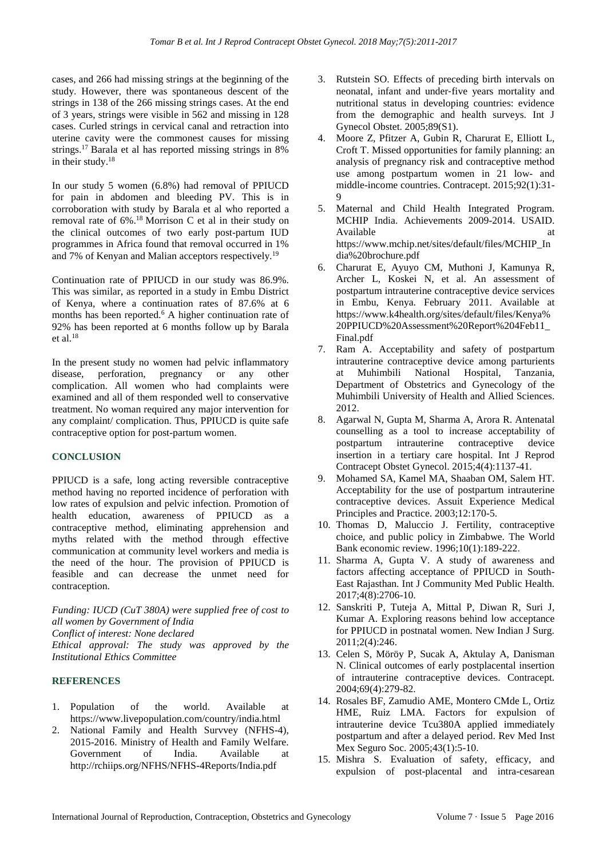cases, and 266 had missing strings at the beginning of the study. However, there was spontaneous descent of the strings in 138 of the 266 missing strings cases. At the end of 3 years, strings were visible in 562 and missing in 128 cases. Curled strings in cervical canal and retraction into uterine cavity were the commonest causes for missing strings.<sup>17</sup> Barala et al has reported missing strings in 8% in their study.<sup>18</sup>

In our study 5 women (6.8%) had removal of PPIUCD for pain in abdomen and bleeding PV. This is in corroboration with study by Barala et al who reported a removal rate of 6%.<sup>18</sup> Morrison C et al in their study on the clinical outcomes of two early post-partum IUD programmes in Africa found that removal occurred in 1% and 7% of Kenyan and Malian acceptors respectively.<sup>19</sup>

Continuation rate of PPIUCD in our study was 86.9%. This was similar, as reported in a study in Embu District of Kenya, where a continuation rates of 87.6% at 6 months has been reported.<sup>6</sup> A higher continuation rate of 92% has been reported at 6 months follow up by Barala et al. $18$ 

In the present study no women had pelvic inflammatory disease, perforation, pregnancy or any other complication. All women who had complaints were examined and all of them responded well to conservative treatment. No woman required any major intervention for any complaint/ complication. Thus, PPIUCD is quite safe contraceptive option for post-partum women.

## **CONCLUSION**

PPIUCD is a safe, long acting reversible contraceptive method having no reported incidence of perforation with low rates of expulsion and pelvic infection. Promotion of health education, awareness of PPIUCD as a contraceptive method, eliminating apprehension and myths related with the method through effective communication at community level workers and media is the need of the hour. The provision of PPIUCD is feasible and can decrease the unmet need for contraception.

*Funding: IUCD (CuT 380A) were supplied free of cost to all women by Government of India Conflict of interest: None declared*

*Ethical approval: The study was approved by the Institutional Ethics Committee*

## **REFERENCES**

- 1. Population of the world. Available https://www.livepopulation.com/country/india.html
- 2. National Family and Health Survvey (NFHS-4), 2015-2016. Ministry of Health and Family Welfare. Government of India. Available at http://rchiips.org/NFHS/NFHS-4Reports/India.pdf
- 3. Rutstein SO. Effects of preceding birth intervals on neonatal, infant and under‐five years mortality and nutritional status in developing countries: evidence from the demographic and health surveys. Int J Gynecol Obstet. 2005;89(S1).
- 4. Moore Z, Pfitzer A, Gubin R, Charurat E, Elliott L, Croft T. Missed opportunities for family planning: an analysis of pregnancy risk and contraceptive method use among postpartum women in 21 low- and middle-income countries. Contracept. 2015;92(1):31- 9
- 5. Maternal and Child Health Integrated Program. MCHIP India. Achievements 2009-2014. USAID. Available at a strategies at a strategies of the strategies at a strategies of the strategies at a strategies of the strategies of the strategies of the strategies of the strategies of the strategies of the strategies of t https://www.mchip.net/sites/default/files/MCHIP\_In dia%20brochure.pdf
- 6. Charurat E, Ayuyo CM, Muthoni J, Kamunya R, Archer L, Koskei N, et al. An assessment of postpartum intrauterine contraceptive device services in Embu, Kenya. February 2011. Available at https://www.k4health.org/sites/default/files/Kenya% 20PPIUCD%20Assessment%20Report%204Feb11\_ Final.pdf
- 7. Ram A. Acceptability and safety of postpartum intrauterine contraceptive device among parturients at Muhimbili National Hospital, Tanzania, Department of Obstetrics and Gynecology of the Muhimbili University of Health and Allied Sciences. 2012.
- 8. Agarwal N, Gupta M, Sharma A, Arora R. Antenatal counselling as a tool to increase acceptability of postpartum intrauterine contraceptive device insertion in a tertiary care hospital. Int J Reprod Contracept Obstet Gynecol. 2015;4(4):1137-41.
- 9. Mohamed SA, Kamel MA, Shaaban OM, Salem HT. Acceptability for the use of postpartum intrauterine contraceptive devices. Assuit Experience Medical Principles and Practice. 2003;12:170-5.
- 10. Thomas D, Maluccio J. Fertility, contraceptive choice, and public policy in Zimbabwe. The World Bank economic review. 1996;10(1):189-222.
- 11. Sharma A, Gupta V. A study of awareness and factors affecting acceptance of PPIUCD in South-East Rajasthan. Int J Community Med Public Health. 2017;4(8):2706-10.
- 12. Sanskriti P, Tuteja A, Mittal P, Diwan R, Suri J, Kumar A. Exploring reasons behind low acceptance for PPIUCD in postnatal women. New Indian J Surg. 2011;2(4):246.
- 13. Celen S, Möröy P, Sucak A, Aktulay A, Danisman N. Clinical outcomes of early postplacental insertion of intrauterine contraceptive devices. Contracept. 2004;69(4):279-82.
- 14. Rosales BF, Zamudio AME, Montero CMde L, Ortiz HME, Ruiz LMA. Factors for expulsion of intrauterine device Tcu380A applied immediately postpartum and after a delayed period. Rev Med Inst Mex Seguro Soc. 2005;43(1):5-10.
- 15. Mishra S. Evaluation of safety, efficacy, and expulsion of post-placental and intra-cesarean